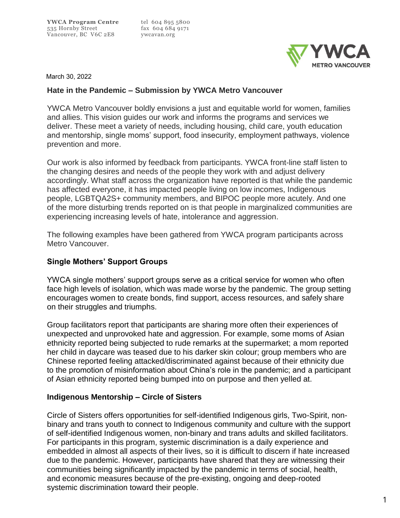

March 30, 2022

### **Hate in the Pandemic – Submission by YWCA Metro Vancouver**

YWCA Metro Vancouver boldly envisions a just and equitable world for women, families and allies. This vision guides our work and informs the programs and services we deliver. These meet a variety of needs, including housing, child care, youth education and mentorship, single moms' support, food insecurity, employment pathways, violence prevention and more.

Our work is also informed by feedback from participants. YWCA front-line staff listen to the changing desires and needs of the people they work with and adjust delivery accordingly. What staff across the organization have reported is that while the pandemic has affected everyone, it has impacted people living on low incomes, Indigenous people, LGBTQA2S+ community members, and BIPOC people more acutely. And one of the more disturbing trends reported on is that people in marginalized communities are experiencing increasing levels of hate, intolerance and aggression.

The following examples have been gathered from YWCA program participants across Metro Vancouver.

# **Single Mothers' Support Groups**

YWCA single mothers' support groups serve as a critical service for women who often face high levels of isolation, which was made worse by the pandemic. The group setting encourages women to create bonds, find support, access resources, and safely share on their struggles and triumphs.

Group facilitators report that participants are sharing more often their experiences of unexpected and unprovoked hate and aggression. For example, some moms of Asian ethnicity reported being subjected to rude remarks at the supermarket; a mom reported her child in daycare was teased due to his darker skin colour; group members who are Chinese reported feeling attacked/discriminated against because of their ethnicity due to the promotion of misinformation about China's role in the pandemic; and a participant of Asian ethnicity reported being bumped into on purpose and then yelled at.

## **Indigenous Mentorship – Circle of Sisters**

Circle of Sisters offers opportunities for self-identified Indigenous girls, Two-Spirit, nonbinary and trans youth to connect to Indigenous community and culture with the support of self-identified Indigenous women, non-binary and trans adults and skilled facilitators. For participants in this program, systemic discrimination is a daily experience and embedded in almost all aspects of their lives, so it is difficult to discern if hate increased due to the pandemic. However, participants have shared that they are witnessing their communities being significantly impacted by the pandemic in terms of social, health, and economic measures because of the pre-existing, ongoing and deep-rooted systemic discrimination toward their people.